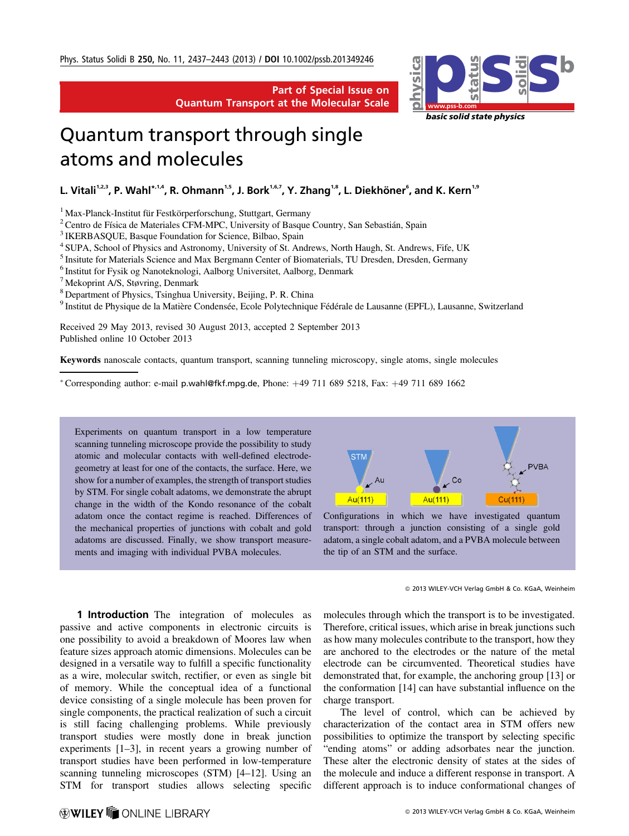Phys. Status Solidi B 250, No. 11, 2437*–*2443 (2013) / DOI 10.1002/pssb.201349246 **p s s** *basic solid state physics* **b status solidi physica www.pss-b.com**

## Part of Special Issue on Quantum Transport at the Molecular Scale

## Quantum transport through single atoms and molecules

L. Vitali $^{1,2,3}$ , P. Wahl $^{*,1,4}$ , R. Ohmann $^{1,5}$ , J. Bork $^{1,6,7}$ , Y. Zhang $^{1,8}$ , L. Diekhöner $^6$ , and K. Kern $^{1,9}$ 

<sup>1</sup> Max-Planck-Institut für Festkörperforschung, Stuttgart, Germany

<sup>2</sup> Centro de Física de Materiales CFM-MPC, University of Basque Country, San Sebastián, Spain

<sup>3</sup> IKERBASQUE, Basque Foundation for Science, Bilbao, Spain

<sup>4</sup> SUPA, School of Physics and Astronomy, University of St. Andrews, North Haugh, St. Andrews, Fife, UK

<sup>5</sup> Insitute for Materials Science and Max Bergmann Center of Biomaterials, TU Dresden, Dresden, Germany

<sup>6</sup> Institut for Fysik og Nanoteknologi, Aalborg Universitet, Aalborg, Denmark

<sup>7</sup> Mekoprint A/S, Støvring, Denmark

<sup>8</sup> Department of Physics, Tsinghua University, Beijing, P. R. China

<sup>9</sup> Institut de Physique de la Matière Condensée, Ecole Polytechnique Fédérale de Lausanne (EPFL), Lausanne, Switzerland

Received 29 May 2013, revised 30 August 2013, accepted 2 September 2013 Published online 10 October 2013

Keywords nanoscale contacts, quantum transport, scanning tunneling microscopy, single atoms, single molecules

\* Corresponding author: e-mail p.wahl@fkf.mpg.de, Phone: +49 711 689 5218, Fax: +49 711 689 1662

Experiments on quantum transport in a low temperature scanning tunneling microscope provide the possibility to study atomic and molecular contacts with well-defined electrodegeometry at least for one of the contacts, the surface. Here, we show for a number of examples, the strength of transport studies by STM. For single cobalt adatoms, we demonstrate the abrupt change in the width of the Kondo resonance of the cobalt adatom once the contact regime is reached. Differences of the mechanical properties of junctions with cobalt and gold adatoms are discussed. Finally, we show transport measurements and imaging with individual PVBA molecules.



Configurations in which we have investigated quantum transport: through a junction consisting of a single gold adatom, a single cobalt adatom, and a PVBA molecule between the tip of an STM and the surface.

2013 WILEY-VCH Verlag GmbH & Co. KGaA, Weinheim

**1 Introduction** The integration of molecules as passive and active components in electronic circuits is one possibility to avoid a breakdown of Moores law when feature sizes approach atomic dimensions. Molecules can be designed in a versatile way to fulfill a specific functionality as a wire, molecular switch, rectifier, or even as single bit of memory. While the conceptual idea of a functional device consisting of a single molecule has been proven for single components, the practical realization of such a circuit is still facing challenging problems. While previously transport studies were mostly done in break junction experiments [1–3], in recent years a growing number of transport studies have been performed in low-temperature scanning tunneling microscopes (STM) [4–12]. Using an STM for transport studies allows selecting specific molecules through which the transport is to be investigated. Therefore, critical issues, which arise in break junctions such as how many molecules contribute to the transport, how they are anchored to the electrodes or the nature of the metal electrode can be circumvented. Theoretical studies have demonstrated that, for example, the anchoring group [13] or the conformation [14] can have substantial influence on the charge transport.

The level of control, which can be achieved by characterization of the contact area in STM offers new possibilities to optimize the transport by selecting specific "ending atoms" or adding adsorbates near the junction. These alter the electronic density of states at the sides of the molecule and induce a different response in transport. A different approach is to induce conformational changes of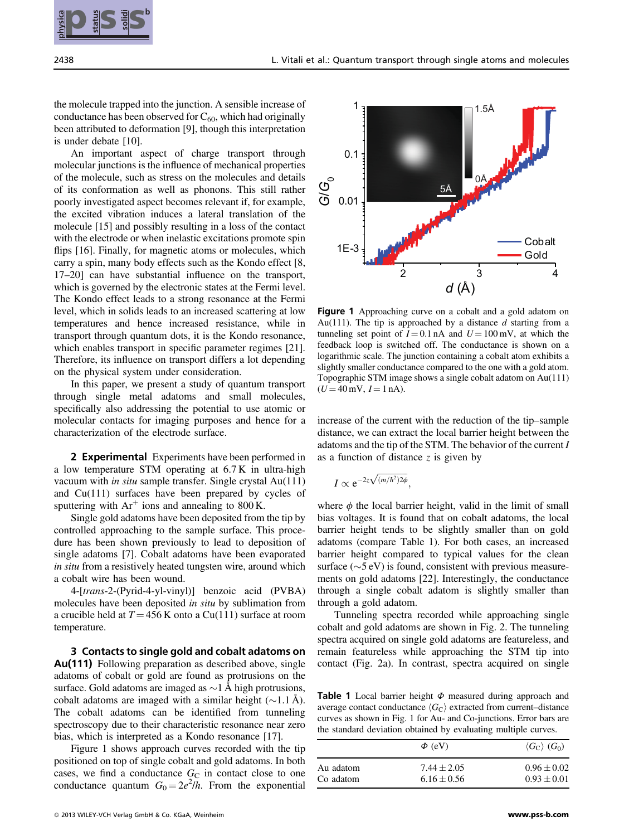

the molecule trapped into the junction. A sensible increase of conductance has been observed for  $C_{60}$ , which had originally been attributed to deformation [9], though this interpretation is under debate [10].

An important aspect of charge transport through molecular junctions is the influence of mechanical properties of the molecule, such as stress on the molecules and details of its conformation as well as phonons. This still rather poorly investigated aspect becomes relevant if, for example, the excited vibration induces a lateral translation of the molecule [15] and possibly resulting in a loss of the contact with the electrode or when inelastic excitations promote spin flips [16]. Finally, for magnetic atoms or molecules, which carry a spin, many body effects such as the Kondo effect [8, 17–20] can have substantial influence on the transport, which is governed by the electronic states at the Fermi level. The Kondo effect leads to a strong resonance at the Fermi level, which in solids leads to an increased scattering at low temperatures and hence increased resistance, while in transport through quantum dots, it is the Kondo resonance, which enables transport in specific parameter regimes [21]. Therefore, its influence on transport differs a lot depending on the physical system under consideration. **2013 SS<sup>2</sup> Constrained Constrained Constrained Constrained Constrained Constrained Constrained Constrained Constrained Constrained Constrained Constrained Constrained Constrained Constrained Constrained Constrained Const** 

In this paper, we present a study of quantum transport through single metal adatoms and small molecules, specifically also addressing the potential to use atomic or molecular contacts for imaging purposes and hence for a characterization of the electrode surface.

2 Experimental Experiments have been performed in a low temperature STM operating at 6.7 K in ultra-high vacuum with *in situ* sample transfer. Single crystal Au(111) and Cu(111) surfaces have been prepared by cycles of sputtering with  $Ar^+$  ions and annealing to 800 K.

Single gold adatoms have been deposited from the tip by controlled approaching to the sample surface. This procedure has been shown previously to lead to deposition of single adatoms [7]. Cobalt adatoms have been evaporated in situ from a resistively heated tungsten wire, around which a cobalt wire has been wound.

4-[trans-2-(Pyrid-4-yl-vinyl)] benzoic acid (PVBA) molecules have been deposited in situ by sublimation from a crucible held at  $T = 456$  K onto a Cu(111) surface at room temperature.

3 Contacts to single gold and cobalt adatoms on Au(111) Following preparation as described above, single adatoms of cobalt or gold are found as protrusions on the surface. Gold adatoms are imaged as  $\sim$ 1 Å high protrusions, cobalt adatoms are imaged with a similar height  $(\sim 1.1 \text{ Å})$ . The cobalt adatoms can be identified from tunneling spectroscopy due to their characteristic resonance near zero bias, which is interpreted as a Kondo resonance [17].

Figure 1 shows approach curves recorded with the tip positioned on top of single cobalt and gold adatoms. In both cases, we find a conductance  $G<sub>C</sub>$  in contact close to one conductance quantum  $G_0 = 2e^2/h$ . From the exponential



Figure 1 Approaching curve on a cobalt and a gold adatom on Au(111). The tip is approached by a distance  $d$  starting from a tunneling set point of  $I = 0.1$  nA and  $U = 100$  mV, at which the feedback loop is switched off. The conductance is shown on a logarithmic scale. The junction containing a cobalt atom exhibits a slightly smaller conductance compared to the one with a gold atom. Topographic STM image shows a single cobalt adatom on Au(111)  $(U = 40$  mV,  $I = 1$  nA).

increase of the current with the reduction of the tip–sample distance, we can extract the local barrier height between the adatoms and the tip of the STM. The behavior of the current I as a function of distance  $\zeta$  is given by

$$
I \propto e^{-2z\sqrt{(m/\hbar^2)2\phi}},
$$

where  $\phi$  the local barrier height, valid in the limit of small bias voltages. It is found that on cobalt adatoms, the local barrier height tends to be slightly smaller than on gold adatoms (compare Table 1). For both cases, an increased barrier height compared to typical values for the clean surface  $({\sim}5 \text{ eV})$  is found, consistent with previous measurements on gold adatoms [22]. Interestingly, the conductance through a single cobalt adatom is slightly smaller than through a gold adatom.

Tunneling spectra recorded while approaching single cobalt and gold adatoms are shown in Fig. 2. The tunneling spectra acquired on single gold adatoms are featureless, and remain featureless while approaching the STM tip into contact (Fig. 2a). In contrast, spectra acquired on single

**Table 1** Local barrier height  $\Phi$  measured during approach and average contact conductance  $\langle G_C \rangle$  extracted from current–distance curves as shown in Fig. 1 for Au- and Co-junctions. Error bars are the standard deviation obtained by evaluating multiple curves.

|           | $\Phi$ (eV)     | $\langle G_C \rangle$ $(G_0)$ |
|-----------|-----------------|-------------------------------|
| Au adatom | $7.44 \pm 2.05$ | $0.96 \pm 0.02$               |
| Co adatom | $6.16 + 0.56$   | $0.93 + 0.01$                 |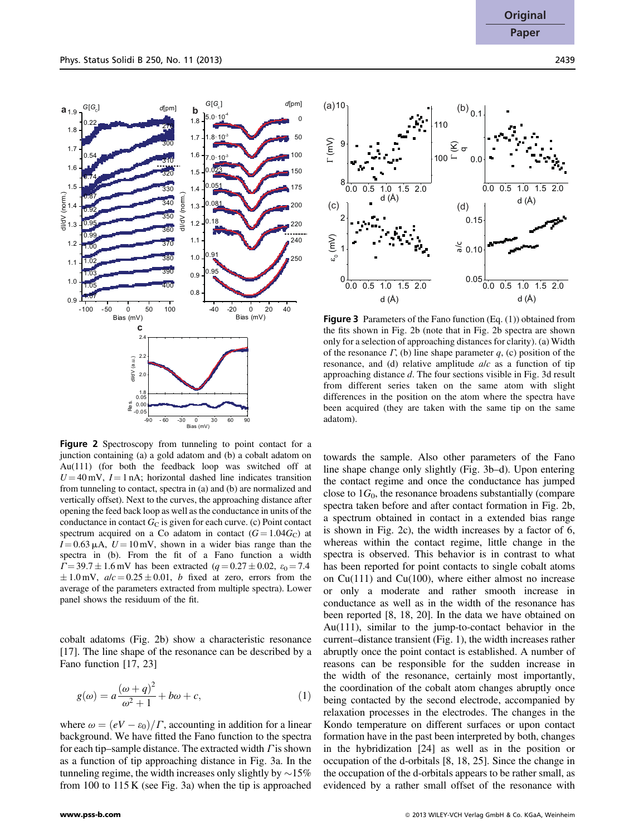

Figure 2 Spectroscopy from tunneling to point contact for a junction containing (a) a gold adatom and (b) a cobalt adatom on Au(111) (for both the feedback loop was switched off at  $U = 40$  mV,  $I = 1$  nA; horizontal dashed line indicates transition from tunneling to contact, spectra in (a) and (b) are normalized and vertically offset). Next to the curves, the approaching distance after opening the feed back loop as well as the conductance in units of the conductance in contact  $G<sub>C</sub>$  is given for each curve. (c) Point contact spectrum acquired on a Co adatom in contact  $(G = 1.04G<sub>C</sub>)$  at  $I = 0.63 \mu A$ ,  $U = 10 \text{ mV}$ , shown in a wider bias range than the spectra in (b). From the fit of a Fano function a width  $\Gamma = 39.7 \pm 1.6$  mV has been extracted ( $q = 0.27 \pm 0.02$ ,  $\varepsilon_0 = 7.4$ )  $\pm 1.0$  mV,  $a/c = 0.25 \pm 0.01$ , b fixed at zero, errors from the average of the parameters extracted from multiple spectra). Lower panel shows the residuum of the fit.

cobalt adatoms (Fig. 2b) show a characteristic resonance [17]. The line shape of the resonance can be described by a Fano function [17, 23]

$$
g(\omega) = a \frac{(\omega + q)^2}{\omega^2 + 1} + b\omega + c,\tag{1}
$$

where  $\omega = (eV - \varepsilon_0)/\Gamma$ , accounting in addition for a linear background. We have fitted the Fano function to the spectra for each tip–sample distance. The extracted width  $\Gamma$  is shown as a function of tip approaching distance in Fig. 3a. In the tunneling regime, the width increases only slightly by  $\sim$ 15% from 100 to 115 K (see Fig. 3a) when the tip is approached



**Figure 3** Parameters of the Fano function (Eq. (1)) obtained from the fits shown in Fig. 2b (note that in Fig. 2b spectra are shown only for a selection of approaching distances for clarity). (a) Width of the resonance  $\Gamma$ , (b) line shape parameter q, (c) position of the resonance, and (d) relative amplitude a/c as a function of tip approaching distance d. The four sections visible in Fig. 3d result from different series taken on the same atom with slight differences in the position on the atom where the spectra have been acquired (they are taken with the same tip on the same adatom).

towards the sample. Also other parameters of the Fano line shape change only slightly (Fig. 3b–d). Upon entering the contact regime and once the conductance has jumped close to  $1G_0$ , the resonance broadens substantially (compare spectra taken before and after contact formation in Fig. 2b, a spectrum obtained in contact in a extended bias range is shown in Fig. 2c), the width increases by a factor of 6, whereas within the contact regime, little change in the spectra is observed. This behavior is in contrast to what has been reported for point contacts to single cobalt atoms on Cu(111) and Cu(100), where either almost no increase or only a moderate and rather smooth increase in conductance as well as in the width of the resonance has been reported [8, 18, 20]. In the data we have obtained on Au(111), similar to the jump-to-contact behavior in the current–distance transient (Fig. 1), the width increases rather abruptly once the point contact is established. A number of reasons can be responsible for the sudden increase in the width of the resonance, certainly most importantly, the coordination of the cobalt atom changes abruptly once being contacted by the second electrode, accompanied by relaxation processes in the electrodes. The changes in the Kondo temperature on different surfaces or upon contact formation have in the past been interpreted by both, changes in the hybridization [24] as well as in the position or occupation of the d-orbitals [8, 18, 25]. Since the change in the occupation of the d-orbitals appears to be rather small, as evidenced by a rather small offset of the resonance with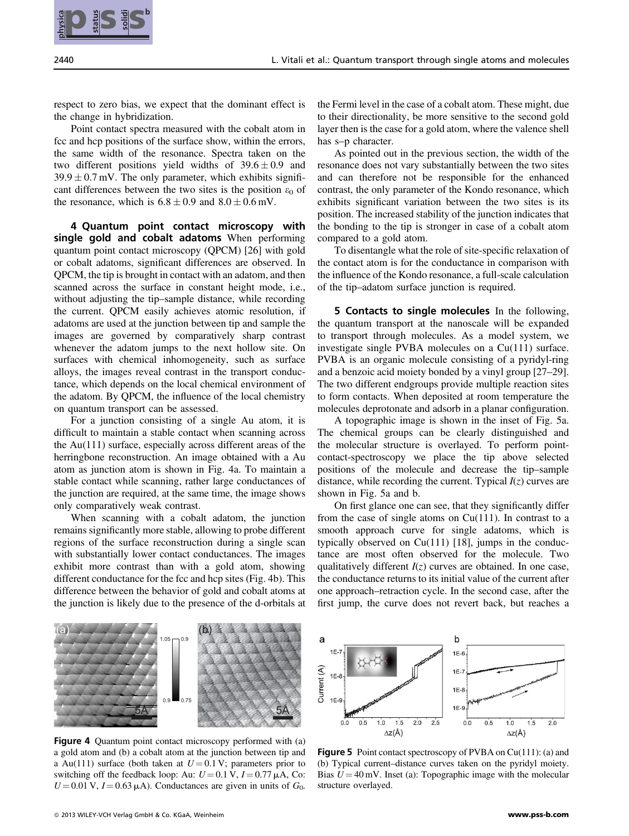

respect to zero bias, we expect that the dominant effect is the change in hybridization.

Point contact spectra measured with the cobalt atom in fcc and hcp positions of the surface show, within the errors, the same width of the resonance. Spectra taken on the two different positions yield widths of  $39.6 \pm 0.9$  and  $39.9 \pm 0.7$  mV. The only parameter, which exhibits significant differences between the two sites is the position  $\varepsilon_0$  of the resonance, which is  $6.8 \pm 0.9$  and  $8.0 \pm 0.6$  mV.

4 Quantum point contact microscopy with single gold and cobalt adatoms When performing quantum point contact microscopy (QPCM) [26] with gold or cobalt adatoms, significant differences are observed. In QPCM, the tip is brought in contact with an adatom, and then scanned across the surface in constant height mode, i.e., without adjusting the tip–sample distance, while recording the current. QPCM easily achieves atomic resolution, if adatoms are used at the junction between tip and sample the images are governed by comparatively sharp contrast whenever the adatom jumps to the next hollow site. On surfaces with chemical inhomogeneity, such as surface alloys, the images reveal contrast in the transport conductance, which depends on the local chemical environment of the adatom. By QPCM, the influence of the local chemistry on quantum transport can be assessed. **2023** Similar methods of the computer control of the control of the control of the control of the control of the control of the control of the control of the control of the control of the control of the control of the co

For a junction consisting of a single Au atom, it is difficult to maintain a stable contact when scanning across the Au(111) surface, especially across different areas of the herringbone reconstruction. An image obtained with a Au atom as junction atom is shown in Fig. 4a. To maintain a stable contact while scanning, rather large conductances of the junction are required, at the same time, the image shows only comparatively weak contrast.

When scanning with a cobalt adatom, the junction remains significantly more stable, allowing to probe different regions of the surface reconstruction during a single scan with substantially lower contact conductances. The images exhibit more contrast than with a gold atom, showing different conductance for the fcc and hcp sites (Fig. 4b). This difference between the behavior of gold and cobalt atoms at the junction is likely due to the presence of the d-orbitals at the Fermi level in the case of a cobalt atom. These might, due to their directionality, be more sensitive to the second gold layer then is the case for a gold atom, where the valence shell has s–p character.

As pointed out in the previous section, the width of the resonance does not vary substantially between the two sites and can therefore not be responsible for the enhanced contrast, the only parameter of the Kondo resonance, which exhibits significant variation between the two sites is its position. The increased stability of the junction indicates that the bonding to the tip is stronger in case of a cobalt atom compared to a gold atom.

To disentangle what the role of site-specific relaxation of the contact atom is for the conductance in comparison with the influence of the Kondo resonance, a full-scale calculation of the tip–adatom surface junction is required.

5 Contacts to single molecules In the following, the quantum transport at the nanoscale will be expanded to transport through molecules. As a model system, we investigate single PVBA molecules on a Cu(111) surface. PVBA is an organic molecule consisting of a pyridyl-ring and a benzoic acid moiety bonded by a vinyl group [27–29]. The two different endgroups provide multiple reaction sites to form contacts. When deposited at room temperature the molecules deprotonate and adsorb in a planar configuration.

A topographic image is shown in the inset of Fig. 5a. The chemical groups can be clearly distinguished and the molecular structure is overlayed. To perform pointcontact-spectroscopy we place the tip above selected positions of the molecule and decrease the tip–sample distance, while recording the current. Typical  $I(z)$  curves are shown in Fig. 5a and b.

On first glance one can see, that they significantly differ from the case of single atoms on  $Cu(111)$ . In contrast to a smooth approach curve for single adatoms, which is typically observed on Cu(111) [18], jumps in the conductance are most often observed for the molecule. Two qualitatively different  $I(z)$  curves are obtained. In one case, the conductance returns to its initial value of the current after one approach–retraction cycle. In the second case, after the first jump, the curve does not revert back, but reaches a



**Figure 4** Ouantum point contact microscopy performed with (a) a gold atom and (b) a cobalt atom at the junction between tip and a Au(111) surface (both taken at  $U = 0.1$  V; parameters prior to switching off the feedback loop: Au:  $U = 0.1$  V,  $I = 0.77$   $\mu$ A, Co:  $U = 0.01$  V,  $I = 0.63$   $\mu$ A). Conductances are given in units of  $G_0$ .



**Figure 5** Point contact spectroscopy of PVBA on Cu(111): (a) and (b) Typical current–distance curves taken on the pyridyl moiety. Bias  $U = 40$  mV. Inset (a): Topographic image with the molecular structure overlayed.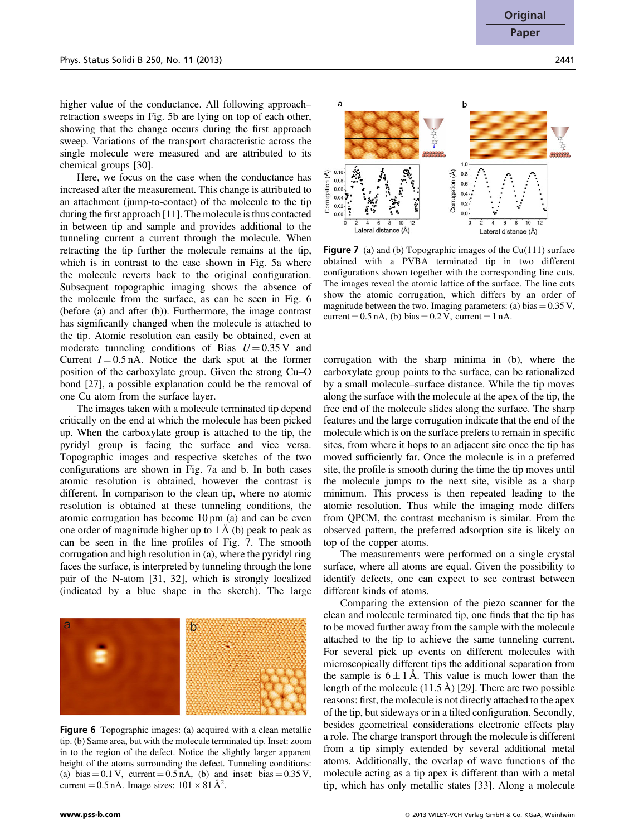higher value of the conductance. All following approach– retraction sweeps in Fig. 5b are lying on top of each other, showing that the change occurs during the first approach sweep. Variations of the transport characteristic across the single molecule were measured and are attributed to its chemical groups [30].

Here, we focus on the case when the conductance has increased after the measurement. This change is attributed to an attachment (jump-to-contact) of the molecule to the tip during the first approach [11]. The molecule is thus contacted in between tip and sample and provides additional to the tunneling current a current through the molecule. When retracting the tip further the molecule remains at the tip, which is in contrast to the case shown in Fig. 5a where the molecule reverts back to the original configuration. Subsequent topographic imaging shows the absence of the molecule from the surface, as can be seen in Fig. 6 (before (a) and after (b)). Furthermore, the image contrast has significantly changed when the molecule is attached to the tip. Atomic resolution can easily be obtained, even at moderate tunneling conditions of Bias  $U = 0.35$  V and Current  $I = 0.5$  nA. Notice the dark spot at the former position of the carboxylate group. Given the strong Cu–O bond [27], a possible explanation could be the removal of one Cu atom from the surface layer.

The images taken with a molecule terminated tip depend critically on the end at which the molecule has been picked up. When the carboxylate group is attached to the tip, the pyridyl group is facing the surface and vice versa. Topographic images and respective sketches of the two configurations are shown in Fig. 7a and b. In both cases atomic resolution is obtained, however the contrast is different. In comparison to the clean tip, where no atomic resolution is obtained at these tunneling conditions, the atomic corrugation has become 10 pm (a) and can be even one order of magnitude higher up to  $1 \text{ Å}$  (b) peak to peak as can be seen in the line profiles of Fig. 7. The smooth corrugation and high resolution in (a), where the pyridyl ring faces the surface, is interpreted by tunneling through the lone pair of the N-atom [31, 32], which is strongly localized (indicated by a blue shape in the sketch). The large



Figure 6 Topographic images: (a) acquired with a clean metallic tip. (b) Same area, but with the molecule terminated tip. Inset: zoom in to the region of the defect. Notice the slightly larger apparent height of the atoms surrounding the defect. Tunneling conditions: (a) bias  $= 0.1$  V, current  $= 0.5$  nA, (b) and inset: bias  $= 0.35$  V, current = 0.5 nA. Image sizes:  $101 \times 81 \text{ Å}^2$ .



**Figure 7** (a) and (b) Topographic images of the  $Cu(111)$  surface obtained with a PVBA terminated tip in two different configurations shown together with the corresponding line cuts. The images reveal the atomic lattice of the surface. The line cuts show the atomic corrugation, which differs by an order of magnitude between the two. Imaging parameters: (a) bias =  $0.35$  V, current =  $0.5$  nA, (b) bias =  $0.2$  V, current = 1 nA.

corrugation with the sharp minima in (b), where the carboxylate group points to the surface, can be rationalized by a small molecule–surface distance. While the tip moves along the surface with the molecule at the apex of the tip, the free end of the molecule slides along the surface. The sharp features and the large corrugation indicate that the end of the molecule which is on the surface prefers to remain in specific sites, from where it hops to an adjacent site once the tip has moved sufficiently far. Once the molecule is in a preferred site, the profile is smooth during the time the tip moves until the molecule jumps to the next site, visible as a sharp minimum. This process is then repeated leading to the atomic resolution. Thus while the imaging mode differs from QPCM, the contrast mechanism is similar. From the observed pattern, the preferred adsorption site is likely on top of the copper atoms.

The measurements were performed on a single crystal surface, where all atoms are equal. Given the possibility to identify defects, one can expect to see contrast between different kinds of atoms.

Comparing the extension of the piezo scanner for the clean and molecule terminated tip, one finds that the tip has to be moved further away from the sample with the molecule attached to the tip to achieve the same tunneling current. For several pick up events on different molecules with microscopically different tips the additional separation from the sample is  $6 \pm 1$  Å. This value is much lower than the length of the molecule  $(11.5 \text{ Å})$  [29]. There are two possible reasons: first, the molecule is not directly attached to the apex of the tip, but sideways or in a tilted configuration. Secondly, besides geometrical considerations electronic effects play a role. The charge transport through the molecule is different from a tip simply extended by several additional metal atoms. Additionally, the overlap of wave functions of the molecule acting as a tip apex is different than with a metal tip, which has only metallic states [33]. Along a molecule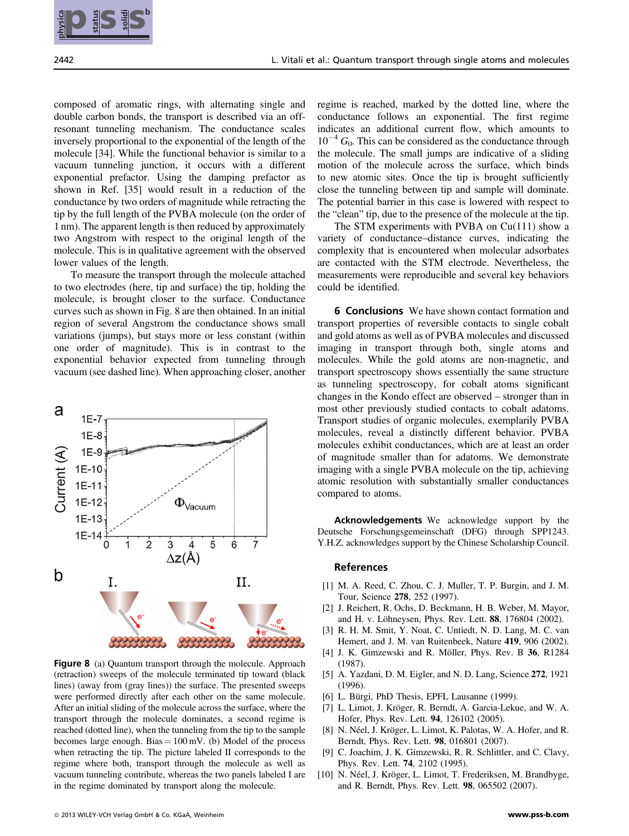composed of aromatic rings, with alternating single and double carbon bonds, the transport is described via an offresonant tunneling mechanism. The conductance scales inversely proportional to the exponential of the length of the molecule [34]. While the functional behavior is similar to a vacuum tunneling junction, it occurs with a different exponential prefactor. Using the damping prefactor as shown in Ref. [35] would result in a reduction of the conductance by two orders of magnitude while retracting the tip by the full length of the PVBA molecule (on the order of 1 nm). The apparent length is then reduced by approximately two Angstrom with respect to the original length of the molecule. This is in qualitative agreement with the observed lower values of the length.

**sb**

To measure the transport through the molecule attached to two electrodes (here, tip and surface) the tip, holding the molecule, is brought closer to the surface. Conductance curves such as shown in Fig. 8 are then obtained. In an initial region of several Angstrom the conductance shows small variations (jumps), but stays more or less constant (within one order of magnitude). This is in contrast to the exponential behavior expected from tunneling through vacuum (see dashed line). When approaching closer, another



Figure 8 (a) Quantum transport through the molecule. Approach (retraction) sweeps of the molecule terminated tip toward (black lines) (away from (gray lines)) the surface. The presented sweeps were performed directly after each other on the same molecule. After an initial sliding of the molecule across the surface, where the transport through the molecule dominates, a second regime is reached (dotted line), when the tunneling from the tip to the sample becomes large enough. Bias  $= 100$  mV. (b) Model of the process when retracting the tip. The picture labeled II corresponds to the regime where both, transport through the molecule as well as vacuum tunneling contribute, whereas the two panels labeled I are in the regime dominated by transport along the molecule.

regime is reached, marked by the dotted line, where the conductance follows an exponential. The first regime indicates an additional current flow, which amounts to  $10^{-4}$  G<sub>0</sub>. This can be considered as the conductance through the molecule. The small jumps are indicative of a sliding motion of the molecule across the surface, which binds to new atomic sites. Once the tip is brought sufficiently close the tunneling between tip and sample will dominate. The potential barrier in this case is lowered with respect to the "clean" tip, due to the presence of the molecule at the tip.

The STM experiments with PVBA on Cu(111) show a variety of conductance–distance curves, indicating the complexity that is encountered when molecular adsorbates are contacted with the STM electrode. Nevertheless, the measurements were reproducible and several key behaviors could be identified.

6 Conclusions We have shown contact formation and transport properties of reversible contacts to single cobalt and gold atoms as well as of PVBA molecules and discussed imaging in transport through both, single atoms and molecules. While the gold atoms are non-magnetic, and transport spectroscopy shows essentially the same structure as tunneling spectroscopy, for cobalt atoms significant changes in the Kondo effect are observed – stronger than in most other previously studied contacts to cobalt adatoms. Transport studies of organic molecules, exemplarily PVBA molecules, reveal a distinctly different behavior. PVBA molecules exhibit conductances, which are at least an order of magnitude smaller than for adatoms. We demonstrate imaging with a single PVBA molecule on the tip, achieving atomic resolution with substantially smaller conductances compared to atoms.

Acknowledgements We acknowledge support by the Deutsche Forschungsgemeinschaft (DFG) through SPP1243. Y.H.Z. acknowledges support by the Chinese Scholarship Council.

## References

- [1] M. A. Reed, C. Zhou, C. J. Muller, T. P. Burgin, and J. M. Tour, Science 278, 252 (1997).
- [2] J. Reichert, R. Ochs, D. Beckmann, H. B. Weber, M. Mayor, and H. v. Löhneysen, Phys. Rev. Lett. 88, 176804 (2002).
- [3] R. H. M. Smit, Y. Noat, C. Untiedt, N. D. Lang, M. C. van Hemert, and J. M. van Ruitenbeek, Nature 419, 906 (2002).
- [4] J. K. Gimzewski and R. Möller, Phys. Rev. B 36, R1284 (1987).
- [5] A. Yazdani, D. M. Eigler, and N. D. Lang, Science 272, 1921 (1996).
- [6] L. Bürgi, PhD Thesis, EPFL Lausanne (1999).
- [7] L. Limot, J. Kröger, R. Berndt, A. Garcia-Lekue, and W. A. Hofer, Phys. Rev. Lett. 94, 126102 (2005).
- [8] N. Néel, J. Kröger, L. Limot, K. Palotas, W. A. Hofer, and R. Berndt, Phys. Rev. Lett. 98, 016801 (2007).
- [9] C. Joachim, J. K. Gimzewski, R. R. Schlittler, and C. Clavy, Phys. Rev. Lett. 74, 2102 (1995).
- [10] N. Néel, J. Kröger, L. Limot, T. Frederiksen, M. Brandbyge, and R. Berndt, Phys. Rev. Lett. 98, 065502 (2007).